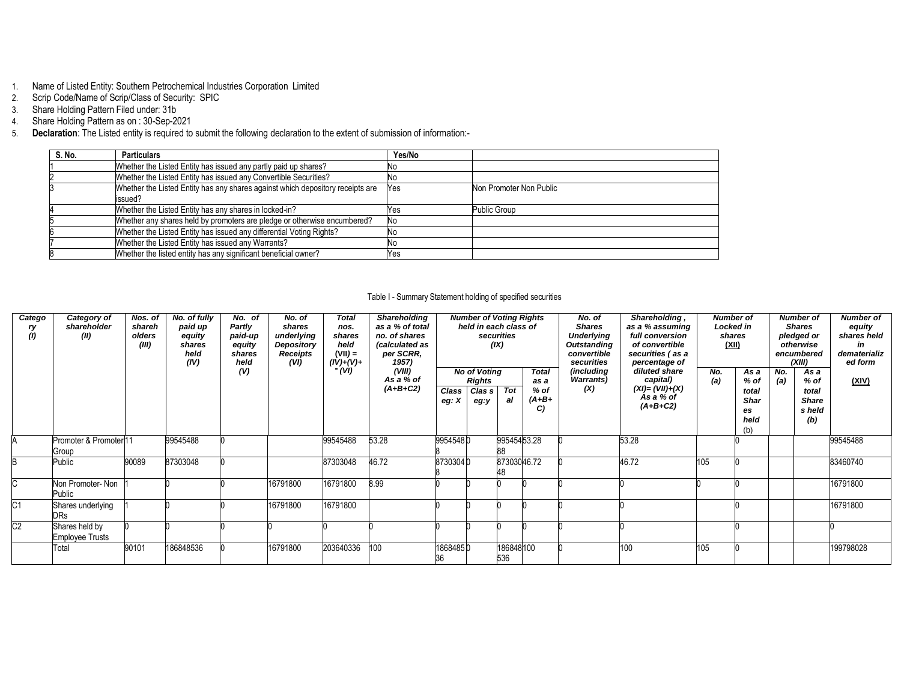- 1. Name of Listed Entity: Southern Petrochemical Industries Corporation Limited
- 2. Scrip Code/Name of Scrip/Class of Security: SPIC
- 3. Share Holding Pattern Filed under: 31b
- 4. Share Holding Pattern as on : 30-Sep-2021
- 5. **Declaration**: The Listed entity is required to submit the following declaration to the extent of submission of information:-

| S. No. | <b>Particulars</b>                                                                        | Yes/No |                         |
|--------|-------------------------------------------------------------------------------------------|--------|-------------------------|
|        | Whether the Listed Entity has issued any partly paid up shares?                           | No     |                         |
|        | Whether the Listed Entity has issued any Convertible Securities?                          | No     |                         |
|        | Whether the Listed Entity has any shares against which depository receipts are<br>issued? | Yes    | Non Promoter Non Public |
|        | Whether the Listed Entity has any shares in locked-in?                                    | Yes    | <b>Public Group</b>     |
|        | Whether any shares held by promoters are pledge or otherwise encumbered?                  | No     |                         |
|        | Whether the Listed Entity has issued any differential Voting Rights?                      | No     |                         |
|        | Whether the Listed Entity has issued any Warrants?                                        | No     |                         |
|        | Whether the listed entity has any significant beneficial owner?                           | Yes    |                         |

### Table I - Summary Statement holding of specified securities

| Catego<br>ry<br>(1) | Category of<br>shareholder<br>(II)       | Nos. of<br>shareh<br>olders<br>(III) | $\overline{No.}$ of fully<br>paid up<br>equity<br>shares<br>held<br>(IV) | No. of<br>Partly<br>paid-up<br>equity<br>shares<br>held | No. of<br>shares<br>underlying<br>Depository<br><b>Receipts</b><br>(VI) | <b>Total</b><br>nos.<br>shares<br>held<br>$(VII) =$<br>$(IV)+(V)+$ | Shareholding<br>as a % of total<br>no. of shares<br>(calculated as<br>per SCRR,<br>1957) |                  | <b>Number of Voting Rights</b><br>held in each class of | securities<br>(IX)     |                                                 | No. of<br><b>Shares</b><br><b>Underlying</b><br><b>Outstanding</b><br>convertible<br>securities | Shareholding,<br>as a % assuming<br>full conversion<br>of convertible<br>securities (as a<br>percentage of | <b>Number of</b><br><b>Locked in</b><br>shares<br>(XII) |                                                    |            | <b>Number of</b><br><b>Shares</b><br>pledged or<br>otherwise<br>encumbered<br>(XIII) | Number of<br>equity<br>shares held<br>in<br>dematerializ<br>ed form |
|---------------------|------------------------------------------|--------------------------------------|--------------------------------------------------------------------------|---------------------------------------------------------|-------------------------------------------------------------------------|--------------------------------------------------------------------|------------------------------------------------------------------------------------------|------------------|---------------------------------------------------------|------------------------|-------------------------------------------------|-------------------------------------------------------------------------------------------------|------------------------------------------------------------------------------------------------------------|---------------------------------------------------------|----------------------------------------------------|------------|--------------------------------------------------------------------------------------|---------------------------------------------------------------------|
|                     |                                          |                                      |                                                                          | (V)                                                     |                                                                         | (VI)                                                               | (VIII)<br>As a % of<br>$(A+B+C2)$                                                        | Class<br>eg: $X$ | <b>No of Voting</b><br><b>Rights</b><br>Clas s<br>eg:y  | $\overline{Tot}$<br>al | <b>Total</b><br>as a<br>$%$ of<br>$(A+B+$<br>C) | (including<br><b>Warrants</b> )<br>(X)                                                          | diluted share<br>capital)<br>$(XI) = (VII) + (X)$<br>As a % of<br>$(A+B+C2)$                               | No.<br>(a)                                              | As a<br>% of<br>total<br>Shar<br>es<br>held<br>(b) | No.<br>(a) | As a<br>$%$ of<br>total<br><b>Share</b><br>s held<br>(b)                             | (XIV)                                                               |
|                     | Promoter & Promoter11<br>Group           |                                      | 99545488                                                                 |                                                         |                                                                         | 99545488                                                           | 53.28                                                                                    | 99545480         |                                                         | 99545453.28            |                                                 |                                                                                                 | 53.28                                                                                                      |                                                         |                                                    |            |                                                                                      | 99545488                                                            |
|                     | Public                                   | 90089                                | 87303048                                                                 |                                                         |                                                                         | 87303048                                                           | 46.72                                                                                    | 87303040         |                                                         | 87303046.72            |                                                 |                                                                                                 | 46.72                                                                                                      | 105                                                     |                                                    |            |                                                                                      | 83460740                                                            |
|                     | Non Promoter-Non<br>Public               |                                      |                                                                          |                                                         | 16791800                                                                | 16791800                                                           | 8.99                                                                                     |                  |                                                         |                        |                                                 |                                                                                                 |                                                                                                            |                                                         |                                                    |            |                                                                                      | 16791800                                                            |
| C1                  | Shares underlying<br><b>DRs</b>          |                                      |                                                                          |                                                         | 16791800                                                                | 16791800                                                           |                                                                                          |                  |                                                         |                        |                                                 |                                                                                                 |                                                                                                            |                                                         |                                                    |            |                                                                                      | 16791800                                                            |
| C <sub>2</sub>      | Shares held by<br><b>Employee Trusts</b> |                                      |                                                                          |                                                         |                                                                         |                                                                    |                                                                                          |                  |                                                         |                        |                                                 |                                                                                                 |                                                                                                            |                                                         |                                                    |            |                                                                                      |                                                                     |
|                     | Total                                    | 90101                                | 186848536                                                                |                                                         | 16791800                                                                | 203640336                                                          | 100                                                                                      | 18684850<br>36   |                                                         | 186848100<br>536       |                                                 |                                                                                                 | 100                                                                                                        | 105                                                     |                                                    |            |                                                                                      | 199798028                                                           |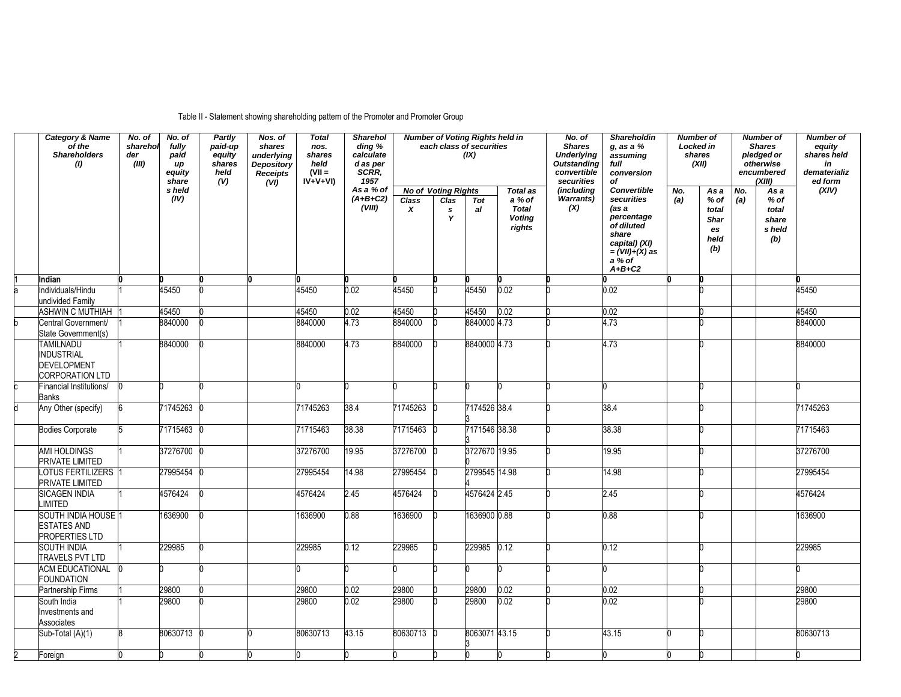# Table II - Statement showing shareholding pattern of the Promoter and Promoter Group

|                         | <b>Category &amp; Name</b><br>of the<br><b>Shareholders</b><br>(1)             | No. of<br>sharehol<br>der<br>(III) | No. of<br>fully<br>paid<br>иp<br>equity<br>share | Partly<br>paid-up<br>equity<br>shares<br>held<br>(V) | $N$ os. of<br>shares<br>underlying<br><b>Depository</b><br>Receipts<br>(VI) | <b>Total</b><br>nos.<br>shares<br>held<br>$(VII =$<br>$IV+V+VI$ | <b>Sharehol</b><br>ding %<br>calculate<br>d as per<br>SCRR.<br>1957 |                   |                                                      | <b>Number of Voting Rights held in</b><br>each class of securities<br>(IX) |                                                                      | No. of<br><b>Shares</b><br><b>Underlying</b><br><b>Outstanding</b><br>convertible<br>securities | <b>Shareholdin</b><br>$g$ , as a $%$<br>assuming<br>full<br>conversion<br>of                                                             | <b>Number of</b><br>Locked in<br>shares | (XII)                                              |            | <b>Number of</b><br><b>Shares</b><br>pledged or<br>otherwise<br>encumbered<br>(XIII) | <b>Number of</b><br>equity<br>shares held<br>in<br>dematerializ<br>ed form |
|-------------------------|--------------------------------------------------------------------------------|------------------------------------|--------------------------------------------------|------------------------------------------------------|-----------------------------------------------------------------------------|-----------------------------------------------------------------|---------------------------------------------------------------------|-------------------|------------------------------------------------------|----------------------------------------------------------------------------|----------------------------------------------------------------------|-------------------------------------------------------------------------------------------------|------------------------------------------------------------------------------------------------------------------------------------------|-----------------------------------------|----------------------------------------------------|------------|--------------------------------------------------------------------------------------|----------------------------------------------------------------------------|
|                         |                                                                                |                                    | s held<br>(IV)                                   |                                                      |                                                                             |                                                                 | As a % of<br>$(A+B+C2)$<br>(VIII)                                   | <b>Class</b><br>x | <b>No of Voting Rights</b><br>Clas<br>$\pmb{s}$<br>Y | Tot<br>al                                                                  | <b>Total as</b><br>a % of<br><b>Total</b><br><b>Voting</b><br>rights | (including<br>Warrants)<br>(X)                                                                  | Convertible<br>securities<br>(as a<br>percentage<br>of diluted<br>share<br>capital) (XI)<br>$=(VII)+(X)$ as<br>$a \times of$<br>$A+B+C2$ | No.<br>(a)                              | As a<br>% of<br>total<br>Shar<br>es<br>held<br>(b) | No.<br>(a) | As a<br>$%$ of<br>total<br>share<br>s held<br>(b)                                    | (XIV)                                                                      |
|                         | Indian                                                                         |                                    |                                                  |                                                      |                                                                             |                                                                 |                                                                     |                   |                                                      |                                                                            |                                                                      |                                                                                                 |                                                                                                                                          |                                         |                                                    |            |                                                                                      |                                                                            |
| a                       | Individuals/Hindu<br>undivided Family                                          |                                    | 45450                                            |                                                      |                                                                             | 45450                                                           | 0.02                                                                | 45450             |                                                      | 45450                                                                      | 0.02                                                                 |                                                                                                 | 0.02                                                                                                                                     |                                         |                                                    |            |                                                                                      | 45450                                                                      |
|                         | <b>ASHWIN C MUTHIAH</b>                                                        |                                    | 45450                                            |                                                      |                                                                             | 45450                                                           | 0.02                                                                | 45450             |                                                      | 45450                                                                      | 0.02                                                                 |                                                                                                 | 0.02                                                                                                                                     |                                         |                                                    |            |                                                                                      | 45450                                                                      |
| b                       | Central Government/<br>State Government(s)                                     |                                    | 8840000                                          |                                                      |                                                                             | 8840000                                                         | 4.73                                                                | 8840000           |                                                      | 8840000 4.73                                                               |                                                                      |                                                                                                 | 4.73                                                                                                                                     |                                         |                                                    |            |                                                                                      | 8840000                                                                    |
|                         | <b>TAMILNADU</b><br>INDUSTRIAL<br><b>DEVELOPMENT</b><br><b>CORPORATION LTD</b> |                                    | 8840000                                          |                                                      |                                                                             | 8840000                                                         | 4.73                                                                | 8840000           |                                                      | 8840000 4.73                                                               |                                                                      |                                                                                                 | 4.73                                                                                                                                     |                                         |                                                    |            |                                                                                      | 8840000                                                                    |
|                         | Financial Institutions/<br>Banks                                               |                                    |                                                  |                                                      |                                                                             |                                                                 |                                                                     |                   |                                                      |                                                                            |                                                                      |                                                                                                 | n                                                                                                                                        |                                         |                                                    |            |                                                                                      |                                                                            |
| d                       | Any Other (specify)                                                            |                                    | 71745263                                         |                                                      |                                                                             | 71745263                                                        | 38.4                                                                | 71745263          |                                                      | 7174526 38.4                                                               |                                                                      |                                                                                                 | 38.4                                                                                                                                     |                                         |                                                    |            |                                                                                      | 71745263                                                                   |
|                         | <b>Bodies Corporate</b>                                                        |                                    | 71715463                                         |                                                      |                                                                             | 71715463                                                        | 38.38                                                               | 71715463          |                                                      | 7171546 38.38                                                              |                                                                      |                                                                                                 | 38.38                                                                                                                                    |                                         |                                                    |            |                                                                                      | 71715463                                                                   |
|                         | AMI HOLDINGS<br>PRIVATE LIMITED                                                |                                    | 37276700                                         |                                                      |                                                                             | 37276700                                                        | 19.95                                                               | 37276700 0        |                                                      | 3727670 19.95                                                              |                                                                      |                                                                                                 | 19.95                                                                                                                                    |                                         |                                                    |            |                                                                                      | 37276700                                                                   |
|                         | LOTUS FERTILIZERS<br>PRIVATE LIMITED                                           |                                    | 27995454                                         |                                                      |                                                                             | 27995454                                                        | 14.98                                                               | 27995454          |                                                      | 2799545 14.98                                                              |                                                                      |                                                                                                 | 14.98                                                                                                                                    |                                         |                                                    |            |                                                                                      | 27995454                                                                   |
|                         | <b>SICAGEN INDIA</b><br><b>IMITED</b>                                          |                                    | 4576424                                          |                                                      |                                                                             | 4576424                                                         | 2.45                                                                | 4576424           |                                                      | 4576424 2.45                                                               |                                                                      |                                                                                                 | 2.45                                                                                                                                     |                                         |                                                    |            |                                                                                      | 4576424                                                                    |
|                         | SOUTH INDIA HOUSE 1<br><b>ESTATES AND</b><br><b>PROPERTIES LTD</b>             |                                    | 1636900                                          |                                                      |                                                                             | 1636900                                                         | 0.88                                                                | 1636900           |                                                      | 1636900 0.88                                                               |                                                                      |                                                                                                 | 0.88                                                                                                                                     |                                         |                                                    |            |                                                                                      | 1636900                                                                    |
|                         | <b>SOUTH INDIA</b><br><b>TRAVELS PVT LTD</b>                                   |                                    | 229985                                           |                                                      |                                                                             | 229985                                                          | 0.12                                                                | 229985            |                                                      | 229985 0.12                                                                |                                                                      |                                                                                                 | 0.12                                                                                                                                     |                                         |                                                    |            |                                                                                      | 229985                                                                     |
|                         | <b>ACM EDUCATIONAL</b><br><b>FOUNDATION</b>                                    |                                    |                                                  |                                                      |                                                                             |                                                                 |                                                                     |                   |                                                      |                                                                            |                                                                      |                                                                                                 |                                                                                                                                          |                                         |                                                    |            |                                                                                      |                                                                            |
|                         | Partnership Firms                                                              |                                    | 29800                                            |                                                      |                                                                             | 29800                                                           | 0.02                                                                | 29800             |                                                      | 29800                                                                      | 0.02                                                                 |                                                                                                 | 0.02                                                                                                                                     |                                         |                                                    |            |                                                                                      | 29800                                                                      |
|                         | South India<br>Investments and<br>Associates                                   |                                    | 29800                                            |                                                      |                                                                             | 29800                                                           | 0.02                                                                | 29800             |                                                      | 29800                                                                      | 0.02                                                                 |                                                                                                 | 0.02                                                                                                                                     |                                         |                                                    |            |                                                                                      | 29800                                                                      |
|                         | Sub-Total (A)(1)                                                               | R                                  | 80630713                                         |                                                      |                                                                             | 80630713                                                        | 43.15                                                               | 80630713 0        |                                                      | 8063071 43.15                                                              |                                                                      |                                                                                                 | 43.15                                                                                                                                    |                                         |                                                    |            |                                                                                      | 80630713                                                                   |
| $\overline{\mathbf{c}}$ | Foreign                                                                        |                                    |                                                  |                                                      |                                                                             |                                                                 |                                                                     |                   |                                                      |                                                                            |                                                                      |                                                                                                 |                                                                                                                                          |                                         |                                                    |            |                                                                                      |                                                                            |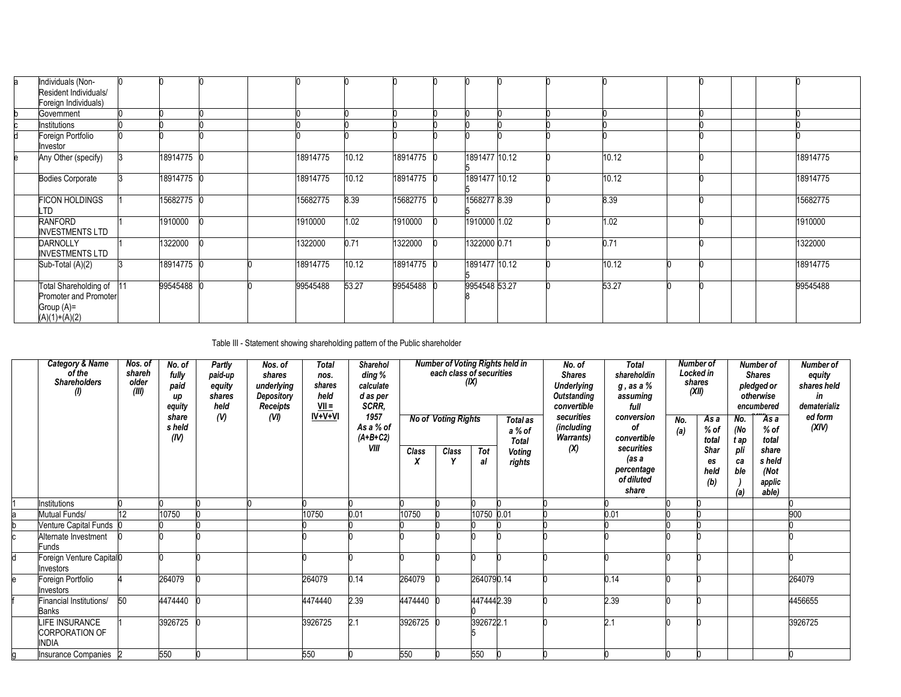| la. | Individuals (Non-<br>Resident Individuals/<br>Foreign Individuals)                 |          |  |          |       |            |               |  |       |  |  |          |
|-----|------------------------------------------------------------------------------------|----------|--|----------|-------|------------|---------------|--|-------|--|--|----------|
|     | Government                                                                         |          |  |          |       |            |               |  |       |  |  |          |
|     | Institutions                                                                       |          |  |          |       |            |               |  |       |  |  |          |
| d   | Foreign Portfolio<br>Investor                                                      |          |  |          |       |            |               |  |       |  |  |          |
| le. | Any Other (specify)                                                                | 18914775 |  | 18914775 | 10.12 | 18914775 0 | 1891477 10.12 |  | 10.12 |  |  | 18914775 |
|     | <b>Bodies Corporate</b>                                                            | 18914775 |  | 18914775 | 10.12 | 18914775   | 1891477 10.12 |  | 10.12 |  |  | 18914775 |
|     | <b>FICON HOLDINGS</b><br>LTD                                                       | 15682775 |  | 15682775 | 8.39  | 15682775   | 1568277 8.39  |  | 8.39  |  |  | 15682775 |
|     | RANFORD<br><b>INVESTMENTS LTD</b>                                                  | 1910000  |  | 1910000  | .02   | 1910000    | 1910000 1.02  |  | 1.02  |  |  | 1910000  |
|     | <b>DARNOLLY</b><br><b>INVESTMENTS LTD</b>                                          | 1322000  |  | 1322000  | 0.71  | 1322000    | 1322000 0.71  |  | 0.71  |  |  | 1322000  |
|     | Sub-Total (A)(2)                                                                   | 18914775 |  | 18914775 | 10.12 | 18914775 ( | 1891477 10.12 |  | 10.12 |  |  | 18914775 |
|     | Total Shareholding of 11<br>Promoter and Promoter<br>Group (A)=<br>$(A)(1)+(A)(2)$ | 99545488 |  | 99545488 | 53.27 | 99545488   | 9954548 53.27 |  | 53.27 |  |  | 99545488 |

Table III - Statement showing shareholding pattern of the Public shareholder

| Category & Name<br>of the<br><b>Shareholders</b><br>(I) | Nos. of<br>shareh<br>older<br>(III) | No. of<br>fully<br>paid<br>up<br>equity<br>share<br>s held<br>(IV) | Partly<br>paid-up<br>equity<br>shares<br>held<br>(N) | Nos. of<br>shares<br>underlying<br>Depository<br><b>Receipts</b><br>(VI) | <b>Total</b><br>nos.<br>shares<br>held<br>$VII =$<br>IV+V+VI | Sharehol<br>ding %<br>calculate<br>d as per<br>SCRR,<br>1957<br>As a % of<br>$(A+B+C2)$ |            | <b>Number of Voting Rights held in</b><br>each class of securities<br><b>No of Voting Rights</b> | (IX)       | Total as<br>a % of<br><b>Total</b> | No. of<br><b>Shares</b><br><b>Underlying</b><br><b>Outstanding</b><br>convertible<br>securities<br>(including<br><b>Warrants</b> ) | <b>Total</b><br>shareholdin<br>$g$ , as a $\%$<br>assuming<br>full<br>conversion<br>οf<br>convertible | No.<br>(a) | Number of<br>Locked in<br>shares<br>(XII)<br>As a<br>$%$ of<br>total | No.<br>(No<br>t ap      | <b>Number of</b><br><b>Shares</b><br>pledged or<br>otherwise<br>encumbered<br>As a<br>% of<br>total | Number of<br>equity<br>shares held<br>in<br>dematerializ<br>ed form<br>(XIV) |
|---------------------------------------------------------|-------------------------------------|--------------------------------------------------------------------|------------------------------------------------------|--------------------------------------------------------------------------|--------------------------------------------------------------|-----------------------------------------------------------------------------------------|------------|--------------------------------------------------------------------------------------------------|------------|------------------------------------|------------------------------------------------------------------------------------------------------------------------------------|-------------------------------------------------------------------------------------------------------|------------|----------------------------------------------------------------------|-------------------------|-----------------------------------------------------------------------------------------------------|------------------------------------------------------------------------------|
|                                                         |                                     |                                                                    |                                                      |                                                                          |                                                              | VIII                                                                                    | Class<br>X | Class                                                                                            | Tot<br>al  | <b>Voting</b><br>rights            | (X)                                                                                                                                | securities<br>(as a<br>percentage<br>of diluted<br>share                                              |            | Shar<br>es<br>held<br>(b)                                            | pli<br>ca<br>ble<br>(a) | share<br>s held<br>(Not<br>applic<br>able)                                                          |                                                                              |
| nstitutions                                             |                                     |                                                                    |                                                      |                                                                          |                                                              |                                                                                         |            |                                                                                                  |            |                                    |                                                                                                                                    |                                                                                                       |            |                                                                      |                         |                                                                                                     |                                                                              |
| Mutual Funds/                                           | 12                                  | 10750                                                              |                                                      |                                                                          | 10750                                                        | 0.01                                                                                    | 10750      |                                                                                                  | 10750 0.01 |                                    |                                                                                                                                    | 0.01                                                                                                  |            |                                                                      |                         |                                                                                                     | 900                                                                          |
| Venture Capital Funds 0                                 |                                     |                                                                    |                                                      |                                                                          |                                                              |                                                                                         |            |                                                                                                  |            |                                    |                                                                                                                                    |                                                                                                       |            |                                                                      |                         |                                                                                                     |                                                                              |
| Alternate Investment<br><b>Funds</b>                    |                                     |                                                                    |                                                      |                                                                          |                                                              |                                                                                         |            |                                                                                                  |            |                                    |                                                                                                                                    |                                                                                                       |            |                                                                      |                         |                                                                                                     |                                                                              |
| Foreign Venture Capital0<br>nvestors                    |                                     |                                                                    |                                                      |                                                                          |                                                              |                                                                                         |            |                                                                                                  |            |                                    |                                                                                                                                    |                                                                                                       |            |                                                                      |                         |                                                                                                     |                                                                              |
| Foreign Portfolio<br>nvestors                           |                                     | 264079                                                             |                                                      |                                                                          | 264079                                                       | 0.14                                                                                    | 264079     |                                                                                                  | 2640790.14 |                                    |                                                                                                                                    | 0.14                                                                                                  |            |                                                                      |                         |                                                                                                     | 264079                                                                       |
| Financial Institutions/<br>Banks                        | 50                                  | 4474440                                                            |                                                      |                                                                          | 4474440                                                      | 2.39                                                                                    | 4474440    |                                                                                                  | 4474442.39 |                                    |                                                                                                                                    | 2.39                                                                                                  |            |                                                                      |                         |                                                                                                     | 4456655                                                                      |
| LIFE INSURANCE<br><b>CORPORATION OF</b><br><b>INDIA</b> |                                     | 3926725                                                            |                                                      |                                                                          | 3926725                                                      | 2.1                                                                                     | 3926725    |                                                                                                  | 3926722.1  |                                    |                                                                                                                                    | 2.1                                                                                                   |            |                                                                      |                         |                                                                                                     | 3926725                                                                      |
| Insurance Companies 2                                   |                                     | 550                                                                |                                                      |                                                                          | 550                                                          |                                                                                         | 550        |                                                                                                  | 550        |                                    |                                                                                                                                    |                                                                                                       |            |                                                                      |                         |                                                                                                     |                                                                              |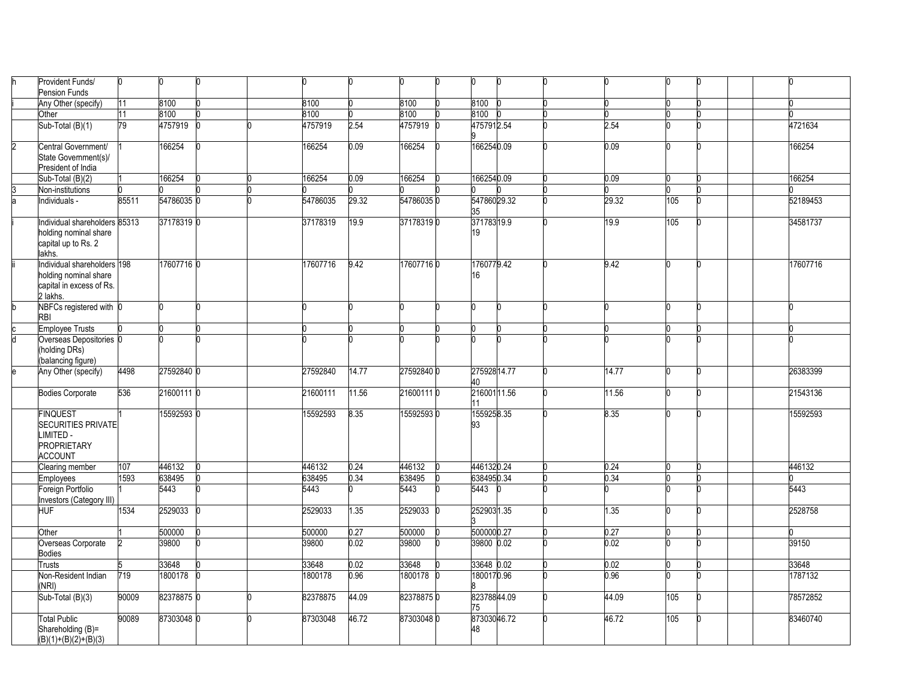|   | Provident Funds/<br><b>Pension Funds</b>                                                          | n     |            |          |       |            |                   |       |     |          |
|---|---------------------------------------------------------------------------------------------------|-------|------------|----------|-------|------------|-------------------|-------|-----|----------|
|   | Any Other (specify)                                                                               | 11    | 8100       | 8100     |       | 8100       | 8100              |       |     |          |
|   | Other                                                                                             | 11    | 8100       | 3100     |       | 8100       | 3100              |       |     |          |
|   | Sub-Total (B)(1)                                                                                  | 79    | 4757919    | 4757919  | 2.54  | 4757919    | 4757912.54        | 2.54  |     | 4721634  |
| 2 | Central Government/<br>State Government(s)/                                                       |       | 166254     | 166254   | 0.09  | 166254     | 1662540.09        | 0.09  |     | 166254   |
|   | President of India                                                                                |       |            |          |       |            |                   |       |     |          |
|   | Sub-Total $(B)(2)$                                                                                |       | 166254     | 166254   | 0.09  | 166254     | 1662540.09        | 0.09  |     | 166254   |
|   | Non-institutions                                                                                  |       |            |          |       |            |                   |       |     |          |
|   | Individuals -                                                                                     | 85511 | 54786035 0 | 54786035 | 29.32 | 547860350  | 54786029.32<br>35 | 29.32 | 105 | 52189453 |
|   | Individual shareholders 85313<br>holding nominal share<br>capital up to Rs. 2<br>lakhs.           |       | 37178319 0 | 37178319 | 19.9  | 371783190  | 37178319.9<br>19  | 19.9  | 105 | 34581737 |
|   | Individual shareholders 198<br>holding nominal share<br>capital in excess of Rs.<br>2 lakhs.      |       | 17607716 0 | 17607716 | 9.42  | 176077160  | 1760779.42<br>16  | 9.42  |     | 17607716 |
|   | NBFCs registered with 0<br><b>RBI</b>                                                             |       |            |          |       |            |                   |       |     | U        |
|   | <b>Employee Trusts</b>                                                                            |       |            |          |       |            |                   |       |     |          |
|   | Overseas Depositories 0<br>(holding DRs)<br>(balancing figure)                                    |       |            |          |       |            |                   |       |     |          |
|   | Any Other (specify)                                                                               | 4498  | 27592840 0 | 27592840 | 14.77 | 275928400  | 27592814.77<br>40 | 14.77 |     | 26383399 |
|   | <b>Bodies Corporate</b>                                                                           | 536   | 21600111 0 | 21600111 | 11.56 | 216001110  | 21600111.56<br>11 | 11.56 |     | 21543136 |
|   | <b>FINQUEST</b><br><b>SECURITIES PRIVATE</b><br>LIMITED -<br><b>PROPRIETARY</b><br><b>ACCOUNT</b> |       | 15592593 0 | 15592593 | 8.35  | 155925930  | 1559258.35<br>93  | 8.35  |     | 15592593 |
|   | Clearing member                                                                                   | 107   | 446132     | 446132   | 0.24  | 446132     | 4461320.24        | 0.24  |     | 446132   |
|   | <b>Employees</b>                                                                                  | 1593  | 638495     | 638495   | 0.34  | 638495     | 6384950.34        | 0.34  |     |          |
|   | Foreign Portfolio<br>nvestors (Category III)                                                      |       | 5443       | 5443     |       | 5443       | 5443              |       |     | 5443     |
|   | <b>HUF</b>                                                                                        | 1534  | 2529033    | 2529033  | 1.35  | 2529033    | 2529031.35        | 1.35  |     | 2528758  |
|   | Other                                                                                             |       | 500000     | 500000   | 0.27  | 500000     | 5000000.27        | 0.27  |     |          |
|   | Overseas Corporate<br><b>Bodies</b>                                                               |       | 39800      | 39800    | 0.02  | 39800      | 39800 0.02        | 0.02  |     | 39150    |
|   | <b>Trusts</b>                                                                                     |       | 33648      | 33648    | 0.02  | 33648      | 33648 0.02        | 0.02  |     | 33648    |
|   | Non-Resident Indian<br>(NRI)                                                                      | 719   | 1800178    | 1800178  | 0.96  | 1800178    | 1800170.96        | 0.96  |     | 1787132  |
|   | $Sub-Total(B)(3)$                                                                                 | 90009 | 82378875 0 | 82378875 | 44.09 | 823788750  | 82378844.09<br>75 | 44.09 | 105 | 78572852 |
|   | <b>Total Public</b><br>Shareholding (B)=<br>$(B)(1)+(B)(2)+(B)(3)$                                | 90089 | 87303048 0 | 87303048 | 46.72 | 87303048 0 | 87303046.72<br>48 | 46.72 | 105 | 83460740 |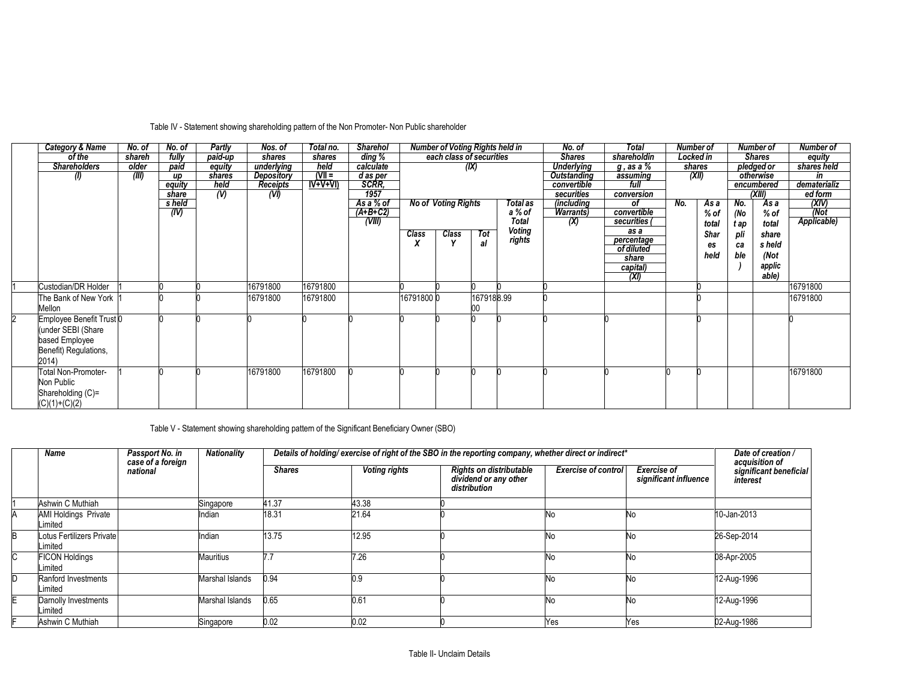| <b>Category &amp; Name</b> | No. of | No. of | <b>Partly</b> | Nos. of    | Total no. | <b>Sharehol</b> |           | Number of Voting Rights held in |            |              | No. of            | Total            | Number of |       |      | Number of     | Number of    |
|----------------------------|--------|--------|---------------|------------|-----------|-----------------|-----------|---------------------------------|------------|--------------|-------------------|------------------|-----------|-------|------|---------------|--------------|
| of the                     | shareh | fully  | paid-up       | shares     | shares    | ding %          |           | each class of securities        |            |              | <b>Shares</b>     | shareholdin      | Locked in |       |      | <b>Shares</b> | equity       |
| <b>Shareholders</b>        | older  | paid   | equity        | underlying | held      | calculate       |           |                                 | (IX)       |              | <b>Underlying</b> | <u>g, as a %</u> | shares    |       |      | pledged or    | shares held  |
|                            | (III)  | up     | shares        | Depository | $N =$     | d as per        |           |                                 |            |              | Outstanding       | assuming         |           | (XII) |      | otherwise     | in           |
|                            |        | equity | held          | Receipts   | $IV+V+VI$ | SCRR,           |           |                                 |            |              | convertible       | full             |           |       |      | encumbered    | dematerializ |
|                            |        | share  | $\mathcal{N}$ | (W)        |           | 1957            |           |                                 |            |              | securities        | conversion       |           |       |      | (XIII)        | ed form      |
|                            |        | s held |               |            |           | As a % of       |           | No of Voting Rights             |            | Total as     | (including        | οf               | No.       | As a  | No.  | As a          | (XIV)        |
|                            |        | (IV)   |               |            |           | $(A+B+C2)$      |           |                                 |            | a % of       | <b>Warrants</b> ) | convertible      |           | % of  | (No  | $%$ of        | 'Mot         |
|                            |        |        |               |            |           | (VIII)          |           |                                 |            | <b>Total</b> | (X)               | securities (     |           | total | t ap | total         | Applicable)  |
|                            |        |        |               |            |           |                 | Class     | Class                           | Tot        | Voting       |                   | as a             |           | Shar  | pli  | share         |              |
|                            |        |        |               |            |           |                 | X         |                                 | al         | rights       |                   | percentage       |           | es    | cа   | s held        |              |
|                            |        |        |               |            |           |                 |           |                                 |            |              |                   | of diluted       |           | held  | ble  | (Not          |              |
|                            |        |        |               |            |           |                 |           |                                 |            |              |                   | share            |           |       |      |               |              |
|                            |        |        |               |            |           |                 |           |                                 |            |              |                   | capital)         |           |       |      | applic        |              |
|                            |        |        |               |            |           |                 |           |                                 |            |              |                   | (XI)             |           |       |      | able)         |              |
| Custodian/DR Holder        |        |        |               | 16791800   | 16791800  |                 |           |                                 |            |              |                   |                  |           |       |      |               | 16791800     |
| The Bank of New York 1     |        |        |               | 16791800   | 16791800  |                 | 167918000 |                                 | 1679188.99 |              |                   |                  |           |       |      |               | 16791800     |
| Mellon                     |        |        |               |            |           |                 |           |                                 |            |              |                   |                  |           |       |      |               |              |
| Employee Benefit Trust 0   |        |        |               |            |           |                 |           |                                 |            |              |                   |                  |           |       |      |               |              |
| under SEBI (Share          |        |        |               |            |           |                 |           |                                 |            |              |                   |                  |           |       |      |               |              |
| based Employee             |        |        |               |            |           |                 |           |                                 |            |              |                   |                  |           |       |      |               |              |
|                            |        |        |               |            |           |                 |           |                                 |            |              |                   |                  |           |       |      |               |              |
| Benefit) Regulations,      |        |        |               |            |           |                 |           |                                 |            |              |                   |                  |           |       |      |               |              |
| 2014)                      |        |        |               |            |           |                 |           |                                 |            |              |                   |                  |           |       |      |               |              |
| <b>Total Non-Promoter-</b> |        |        |               | 16791800   | 16791800  |                 |           |                                 |            |              |                   |                  |           |       |      |               | 16791800     |
| Non Public                 |        |        |               |            |           |                 |           |                                 |            |              |                   |                  |           |       |      |               |              |
| Shareholding (C)=          |        |        |               |            |           |                 |           |                                 |            |              |                   |                  |           |       |      |               |              |
| $(C)(1)+(C)(2)$            |        |        |               |            |           |                 |           |                                 |            |              |                   |                  |           |       |      |               |              |

# Table IV - Statement showing shareholding pattern of the Non Promoter- Non Public shareholder

Table V - Statement showing shareholding pattern of the Significant Beneficiary Owner (SBO)

|   | Name                                   | Passport No. in<br>case of a foreign | Nationality     |               |                      | Details of holding/exercise of right of the SBO in the reporting company, whether direct or indirect* |                            |                                      | Date of creation /                                   |
|---|----------------------------------------|--------------------------------------|-----------------|---------------|----------------------|-------------------------------------------------------------------------------------------------------|----------------------------|--------------------------------------|------------------------------------------------------|
|   |                                        | national                             |                 | <b>Shares</b> | <b>Voting rights</b> | <b>Rights on distributable</b><br>dividend or any other<br>distribution                               | <b>Exercise of control</b> | Exercise of<br>significant influence | acquisition of<br>significant beneficial<br>interest |
|   | Ashwin C Muthiah                       |                                      | Singapore       | 41.37         | 43.38                |                                                                                                       |                            |                                      |                                                      |
|   | <b>AMI Holdings Private</b><br>.imited |                                      | Indian          | 18.31         | 21.64                |                                                                                                       | Νo                         | No                                   | 10-Jan-2013                                          |
|   | Lotus Fertilizers Private<br>.imited   |                                      | Indian          | 13.75         | 12.95                |                                                                                                       | Νo                         | No.                                  | 26-Sep-2014                                          |
| C | <b>FICON Holdings</b><br>.imited       |                                      | Mauritius       | 7:            | 7.26                 |                                                                                                       | No.                        | <b>No</b>                            | 08-Apr-2005                                          |
|   | Ranford Investments<br>.imited         |                                      | Marshal Islands | 0.94          | 0.9                  |                                                                                                       | No.                        | No.                                  | 12-Aug-1996                                          |
|   | Darnolly Investments<br>imited         |                                      | Marshal Islands | 0.65          | 0.61                 |                                                                                                       | <b>No</b>                  | <b>No</b>                            | 12-Aug-1996                                          |
|   | Ashwin C Muthiah                       |                                      | Singapore       | 0.02          | 0.02                 |                                                                                                       | Yes                        | Yes                                  | 02-Aug-1986                                          |